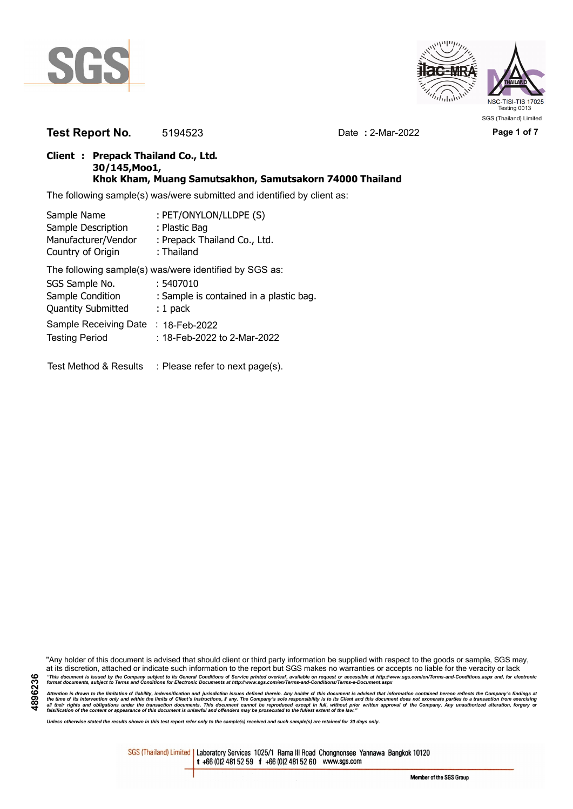



**Test Report No.** 5194523 Date **:** 2-Mar-2022 **Page 1 of 7**

## **Client : Prepack Thailand Co., Ltd. 30/145,Moo1, Khok Kham, Muang Samutsakhon, Samutsakorn 74000 Thailand**

The following sample(s) was/were submitted and identified by client as:

| Sample Name               | : PET/ONYLON/LLDPE (S)                                 |
|---------------------------|--------------------------------------------------------|
| Sample Description        | : Plastic Bag                                          |
| Manufacturer/Vendor       | : Prepack Thailand Co., Ltd.                           |
| Country of Origin         | : Thailand                                             |
|                           | The following sample(s) was/were identified by SGS as: |
| SGS Sample No.            | : 5407010                                              |
| Sample Condition          | : Sample is contained in a plastic bag.                |
| <b>Quantity Submitted</b> | $: 1$ pack                                             |
| Sample Receiving Date     | $: 18$ -Feb-2022                                       |
| <b>Testing Period</b>     | : 18-Feb-2022 to 2-Mar-2022                            |
|                           |                                                        |

Test Method & Results : Please refer to next page(s).

"Any holder of this document is advised that should client or third party information be supplied with respect to the goods or sample, SGS may, at its discretion, attached or indicate such information to the report but SGS makes no warranties or accepts no liable for the veracity or lack "This document is issued by the Company subject to its General Conditions of Service printed overleaf, available on request or accessible at http://www.sgs.com/en/Terms-and-Conditions.aspx and, for electronic<br>format docume

Attention is drawn to the limitation of liability, indemnification and jurisdiction issues defined therein. Any holder of this document is advised that information contained hereon reflects the Company's findings at<br>all th

*Unless otherwise stated the results shown in this test report refer only to the sample(s) received and such sample(s) are retained for 30 days only.*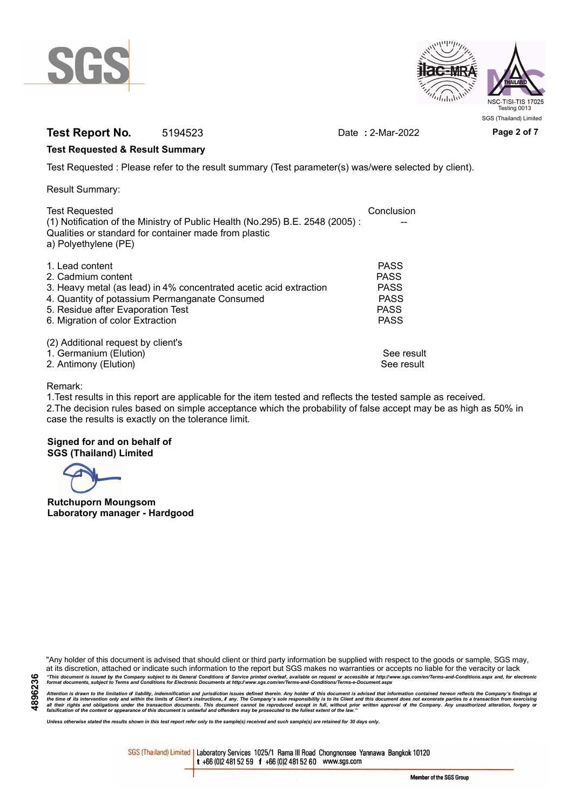



# **Test Report No.** 5194523 Date **:** 2-Mar-2022 **Page 2 of 7**

## **Test Requested & Result Summary**

Test Requested : Please refer to the result summary (Test parameter(s) was/were selected by client).

Result Summary:

| <b>Test Requested</b>                                                                                                                 | Conclusion  |
|---------------------------------------------------------------------------------------------------------------------------------------|-------------|
| (1) Notification of the Ministry of Public Health (No.295) B.E. 2548 (2005):<br>Qualities or standard for container made from plastic |             |
| a) Polyethylene (PE)                                                                                                                  |             |
| 1. Lead content                                                                                                                       | <b>PASS</b> |
| 2. Cadmium content                                                                                                                    | <b>PASS</b> |
| 3. Heavy metal (as lead) in 4% concentrated acetic acid extraction                                                                    | <b>PASS</b> |
| 4. Quantity of potassium Permanganate Consumed                                                                                        | <b>PASS</b> |
| 5. Residue after Evaporation Test                                                                                                     | <b>PASS</b> |
| 6. Migration of color Extraction                                                                                                      | <b>PASS</b> |
| (2) Additional request by client's                                                                                                    |             |
| 1. Germanium (Elution)                                                                                                                | See result  |
| 2. Antimony (Elution)                                                                                                                 | See result  |

## Remark:

1.Test results in this report are applicable for the item tested and reflects the tested sample as received. 2.The decision rules based on simple acceptance which the probability of false accept may be as high as 50% in case the results is exactly on the tolerance limit.

## **Signed for and on behalf of SGS (Thailand) Limited**

**Rutchuporn Moungsom Laboratory manager - Hardgood**

"Any holder of this document is advised that should client or third party information be supplied with respect to the goods or sample, SGS may, at its discretion, attached or indicate such information to the report but SGS makes no warranties or accepts no liable for the veracity or lack "This document is issued by the Company subject to its General Conditions of Service printed overleaf, available on request or accessible at http://www.sgs.com/en/Terms-and-Conditions.aspx and, for electronic<br>format docume

Attention is drawn to the limitation of liability, indemnification and jurisdiction issues defined therein. Any holder of this document is advised that information contained hereon reflects the Company's findings at<br>all th

*Unless otherwise stated the results shown in this test report refer only to the sample(s) received and such sample(s) are retained for 30 days only.*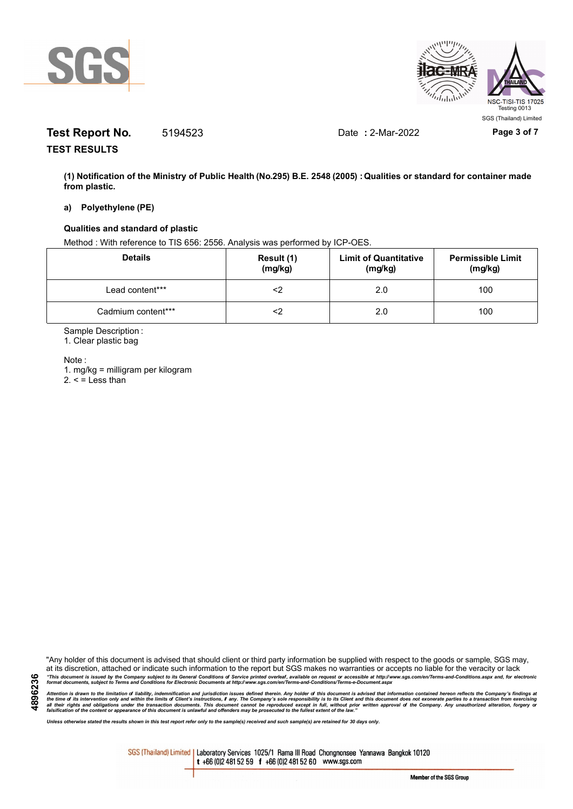



# **Test Report No.** 5194523 Date **:** 2-Mar-2022 **Page 3 of 7**

**TEST RESULTS**

**(1) Notification of the Ministry of Public Health (No.295) B.E. 2548 (2005) : Qualities or standard for container made from plastic.**

#### **a) Polyethylene (PE)**

### **Qualities and standard of plastic**

Method : With reference to TIS 656: 2556. Analysis was performed by ICP-OES.

| <b>Details</b>     | Result (1)<br>(mg/kg) | <b>Limit of Quantitative</b><br>(mg/kg) | <b>Permissible Limit</b><br>(mg/kg) |
|--------------------|-----------------------|-----------------------------------------|-------------------------------------|
| Lead content***    |                       | 2.0                                     | 100                                 |
| Cadmium content*** |                       | 2.0                                     | 100                                 |

Sample Description :

1. Clear plastic bag

Note :

**4896236**

1. mg/kg = milligram per kilogram  $2. <$  = Less than

"Any holder of this document is advised that should client or third party information be supplied with respect to the goods or sample, SGS may, at its discretion, attached or indicate such information to the report but SGS makes no warranties or accepts no liable for the veracity or lack "This document is issued by the Company subject to its General Conditions of Service printed overleaf, available on request or accessible at http://www.sgs.com/en/Terms-and-Conditions.aspx and, for electronic<br>format docume

Attention is drawn to the limitation of liability, indemnification and jurisdiction issues defined therein. Any holder of this document is advised that information contained hereon reflects the Company's findings at<br>all th

*Unless otherwise stated the results shown in this test report refer only to the sample(s) received and such sample(s) are retained for 30 days only.*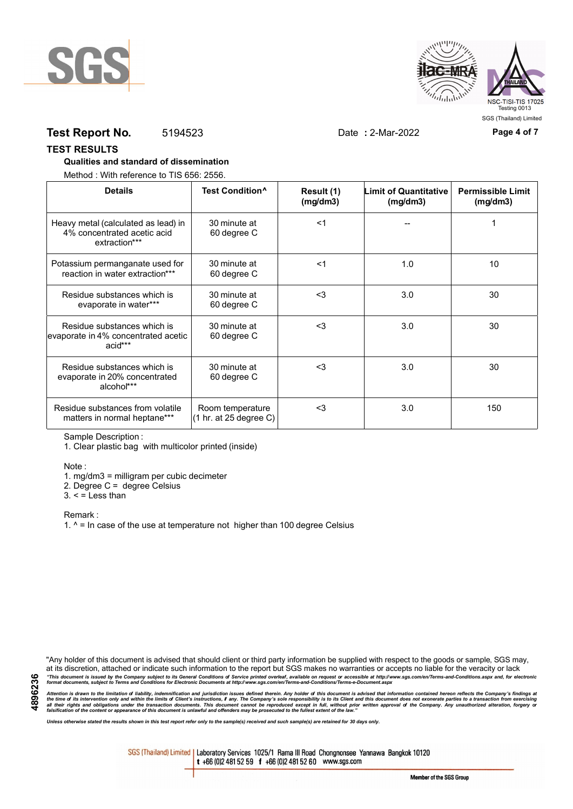



## **Test Report No.** 5194523 Date **:** 2-Mar-2022 **Page 4 of 7**

#### **TEST RESULTS**

## **Qualities and standard of dissemination**

Method : With reference to TIS 656: 2556.

| <b>Details</b>                                                                      | Test Condition <sup>^</sup>                | Result (1)<br>(mg/dm3) | Limit of Quantitative<br>(mg/dm3) | <b>Permissible Limit</b><br>(mg/dm3) |
|-------------------------------------------------------------------------------------|--------------------------------------------|------------------------|-----------------------------------|--------------------------------------|
| Heavy metal (calculated as lead) in<br>4% concentrated acetic acid<br>extraction*** | 30 minute at<br>60 degree C                | $<$ 1                  |                                   |                                      |
| Potassium permanganate used for<br>reaction in water extraction***                  | 30 minute at<br>60 degree C                | $<$ 1                  | 1.0                               | 10                                   |
| Residue substances which is<br>evaporate in water***                                | 30 minute at<br>60 degree C                | $3$                    | 3.0                               | 30                                   |
| Residue substances which is<br>evaporate in 4% concentrated acetic<br>acid***       | 30 minute at<br>60 degree C                | <3                     | 3.0                               | 30                                   |
| Residue substances which is<br>evaporate in 20% concentrated<br>alcohol***          | 30 minute at<br>60 degree C                | $<$ 3                  | 3.0                               | 30                                   |
| Residue substances from volatile<br>matters in normal heptane***                    | Room temperature<br>(1 hr. at 25 degree C) | $3$                    | 3.0                               | 150                                  |

Sample Description :

1. Clear plastic bag with multicolor printed (inside)

Note :

1. mg/dm3 = milligram per cubic decimeter

2. Degree C = degree Celsius

 $3. <$  = Less than

Remark :

1.  $^{\circ}$  = In case of the use at temperature not higher than 100 degree Celsius

"Any holder of this document is advised that should client or third party information be supplied with respect to the goods or sample, SGS may, at its discretion, attached or indicate such information to the report but SGS makes no warranties or accepts no liable for the veracity or lack "This document is issued by the Company subject to its General Conditions of Service printed overleaf, available on request or accessible at http://www.sgs.com/en/Terms-and-Conditions.aspx and, for electronic<br>format docume

Attention is drawn to the limitation of liability, indemnification and jurisdiction issues defined therein. Any holder of this document is advised that information contained hereon reflects the Company's findings at<br>all th

*Unless otherwise stated the results shown in this test report refer only to the sample(s) received and such sample(s) are retained for 30 days only.*

SGS (Thailand) Limited | Laboratory Services 1025/1 Rama III Road Chongnonsee Yannawa Bangkok 10120 t +66 (0)2 481 52 59 f +66 (0)2 481 52 60 www.sgs.com

Member of the SGS Group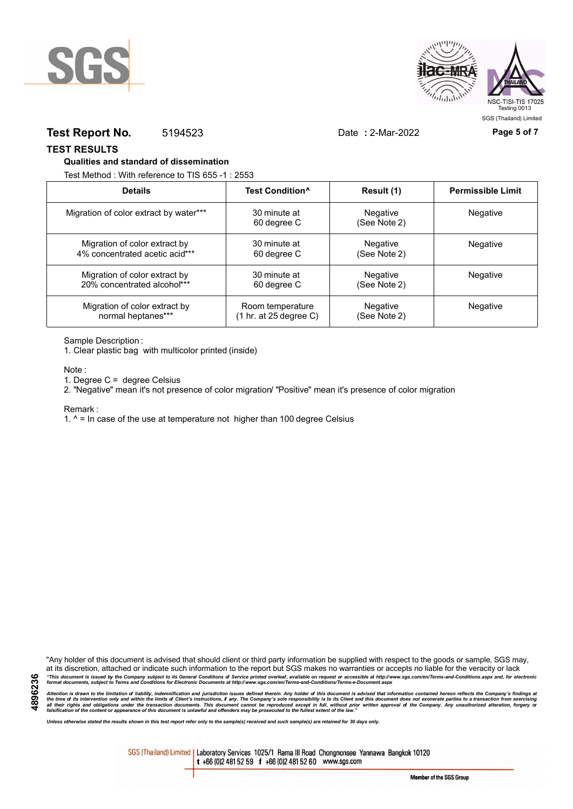



## **Test Report No.** 5194523 Date **:** 2-Mar-2022 **Page 5 of 7**

**TEST RESULTS**

#### **Qualities and standard of dissemination**

Test Method : With reference to TIS 655 -1 : 2553

| <b>Details</b>                         | Test Condition <sup>^</sup> | Result (1)                      | <b>Permissible Limit</b> |
|----------------------------------------|-----------------------------|---------------------------------|--------------------------|
| Migration of color extract by water*** | 30 minute at<br>60 degree C | <b>Negative</b><br>(See Note 2) | Negative                 |
| Migration of color extract by          | 30 minute at                | Negative                        | <b>Negative</b>          |
| 4% concentrated acetic acid***         | 60 degree C                 | (See Note 2)                    |                          |
| Migration of color extract by          | 30 minute at                | Negative                        | <b>Negative</b>          |
| 20% concentrated alcohol***            | 60 degree C                 | (See Note 2)                    |                          |
| Migration of color extract by          | Room temperature            | <b>Negative</b>                 | Negative                 |
| normal heptanes***                     | (1 hr. at 25 degree C)      | (See Note 2)                    |                          |

Sample Description :

1. Clear plastic bag with multicolor printed (inside)

Note :

1. Degree C = degree Celsius

2. "Negative" mean it's not presence of color migration/ "Positive" mean it's presence of color migration

Remark :

1.  $^{\circ}$  = In case of the use at temperature not higher than 100 degree Celsius

"Any holder of this document is advised that should client or third party information be supplied with respect to the goods or sample, SGS may, at its discretion, attached or indicate such information to the report but SGS makes no warranties or accepts no liable for the veracity or lack "This document is issued by the Company subject to its General Conditions of Service printed overleaf, available on request or accessible at http://www.sgs.com/en/Terms-and-Conditions.aspx and, for electronic<br>format docume

Attention is drawn to the limitation of liability, indemnification and jurisdiction issues defined therein. Any holder of this document is advised that information contained hereon reflects the Company's findings at<br>all th

*Unless otherwise stated the results shown in this test report refer only to the sample(s) received and such sample(s) are retained for 30 days only.*

SGS (Thailand) Limited | Laboratory Services 1025/1 Rama III Road Chongnonsee Yannawa Bangkok 10120 t +66 (0)2 481 52 59 f +66 (0)2 481 52 60 www.sgs.com

**4896236**

Member of the SGS Group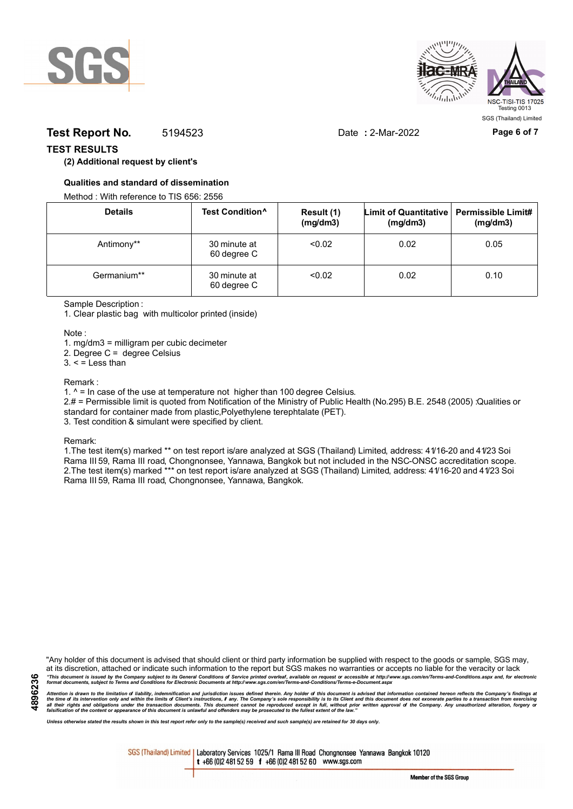



## **Test Report No.** 5194523 Date **:** 2-Mar-2022 **Page 6 of 7**

## **TEST RESULTS**

## **(2) Additional request by client's**

## **Qualities and standard of dissemination**

Method : With reference to TIS 656: 2556

| <b>Details</b> | Test Condition <sup>^</sup> | Result (1)<br>(mg/dm3) | Limit of Quantitative   Permissible Limit#<br>(mg/dm3) | (mg/dm3) |
|----------------|-----------------------------|------------------------|--------------------------------------------------------|----------|
| Antimony**     | 30 minute at<br>60 degree C | < 0.02                 | 0.02                                                   | 0.05     |
| Germanium**    | 30 minute at<br>60 degree C | < 0.02                 | 0.02                                                   | 0.10     |

Sample Description :

1. Clear plastic bag with multicolor printed (inside)

Note :

1. mg/dm3 = milligram per cubic decimeter

2. Degree C = degree Celsius

 $3. <$  = Less than

#### Remark :

1.  $^{\circ}$  = In case of the use at temperature not higher than 100 degree Celsius.

2.# = Permissible limit is quoted from Notification of the Ministry of Public Health (No.295) B.E. 2548 (2005) :Qualities or standard for container made from plastic,Polyethylene terephtalate (PET).

3. Test condition & simulant were specified by client.

Remark:

1.The test item(s) marked \*\* on test report is/are analyzed at SGS (Thailand) Limited, address: 41/16-20 and 41/23 Soi Rama III 59, Rama III road, Chongnonsee, Yannawa, Bangkok but not included in the NSC-ONSC accreditation scope. 2.The test item(s) marked \*\*\* on test report is/are analyzed at SGS (Thailand) Limited, address: 41/16-20 and 41/23 Soi Rama III 59, Rama III road, Chongnonsee, Yannawa, Bangkok.

**4896236**

"Any holder of this document is advised that should client or third party information be supplied with respect to the goods or sample, SGS may, at its discretion, attached or indicate such information to the report but SGS makes no warranties or accepts no liable for the veracity or lack "This document is issued by the Company subject to its General Conditions of Service printed overleaf, available on request or accessible at http://www.sgs.com/en/Terms-and-Conditions.aspx and, for electronic<br>format docume

Attention is drawn to the limitation of liability, indemnification and jurisdiction issues defined therein. Any holder of this document is advised that information contained hereon reflects the Company's findings at<br>all th

*Unless otherwise stated the results shown in this test report refer only to the sample(s) received and such sample(s) are retained for 30 days only.*